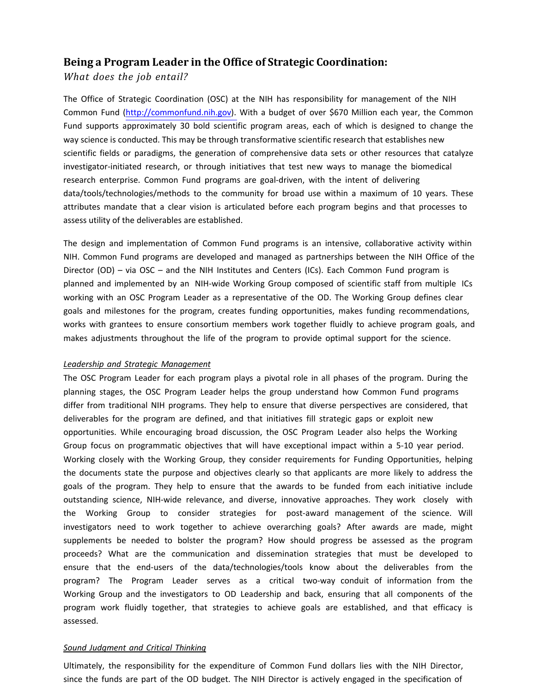# **Being a Program Leader in the Office of Strategic Coordination:**

*What does the job entail?*

The Office of Strategic Coordination (OSC) at the NIH has responsibility for management of the NIH Common Fund [\(http://commonfund.nih.gov\)](http://commonfund.nih.gov/). With a budget of over \$670 Million each year, the Common Fund supports approximately 30 bold scientific program areas, each of which is designed to change the way science is conducted. This may be through transformative scientific research that establishes new scientific fields or paradigms, the generation of comprehensive data sets or other resources that catalyze investigator-initiated research, or through initiatives that test new ways to manage the biomedical research enterprise. Common Fund programs are goal-driven, with the intent of delivering data/tools/technologies/methods to the community for broad use within a maximum of 10 years. These attributes mandate that a clear vision is articulated before each program begins and that processes to assess utility of the deliverables are established.

The design and implementation of Common Fund programs is an intensive, collaborative activity within NIH. Common Fund programs are developed and managed as partnerships between the NIH Office of the Director (OD) – via OSC – and the NIH Institutes and Centers (ICs). Each Common Fund program is planned and implemented by an NIH-wide Working Group composed of scientific staff from multiple ICs working with an OSC Program Leader as a representative of the OD. The Working Group defines clear goals and milestones for the program, creates funding opportunities, makes funding recommendations, works with grantees to ensure consortium members work together fluidly to achieve program goals, and makes adjustments throughout the life of the program to provide optimal support for the science.

#### *Leadership and Strategic Management*

The OSC Program Leader for each program plays a pivotal role in all phases of the program. During the planning stages, the OSC Program Leader helps the group understand how Common Fund programs differ from traditional NIH programs. They help to ensure that diverse perspectives are considered, that deliverables for the program are defined, and that initiatives fill strategic gaps or exploit new opportunities. While encouraging broad discussion, the OSC Program Leader also helps the Working Group focus on programmatic objectives that will have exceptional impact within a 5-10 year period. Working closely with the Working Group, they consider requirements for Funding Opportunities, helping the documents state the purpose and objectives clearly so that applicants are more likely to address the goals of the program. They help to ensure that the awards to be funded from each initiative include outstanding science, NIH-wide relevance, and diverse, innovative approaches. They work closely with the Working Group to consider strategies for post-award management of the science. Will investigators need to work together to achieve overarching goals? After awards are made, might supplements be needed to bolster the program? How should progress be assessed as the program proceeds? What are the communication and dissemination strategies that must be developed to ensure that the end-users of the data/technologies/tools know about the deliverables from the program? The Program Leader serves as a critical two-way conduit of information from the Working Group and the investigators to OD Leadership and back, ensuring that all components of the program work fluidly together, that strategies to achieve goals are established, and that efficacy is assessed.

#### *Sound Judgment and Critical Thinking*

Ultimately, the responsibility for the expenditure of Common Fund dollars lies with the NIH Director, since the funds are part of the OD budget. The NIH Director is actively engaged in the specification of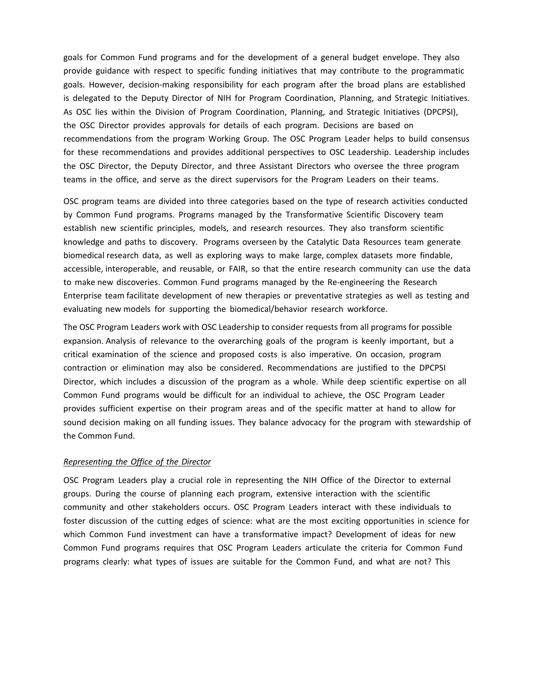goals for Common Fund programs and for the development of a general budget envelope. They also provide guidance with respect to specific funding initiatives that may contribute to the programmatic goals. However, decision-making responsibility for each program after the broad plans are established is delegated to the Deputy Director of NIH for Program Coordination, Planning, and Strategic Initiatives. As OSC lies within the Division of Program Coordination, Planning, and Strategic Initiatives (DPCPSI), the OSC Director provides approvals for details of each program. Decisions are based on recommendations from the program Working Group. The OSC Program Leader helps to build consensus for these recommendations and provides additional perspectives to OSC Leadership. Leadership includes the OSC Director, the Deputy Director, and three Assistant Directors who oversee the three program teams in the office, and serve as the direct supervisors for the Program Leaders on their teams.

OSC program teams are divided into three categories based on the type of research activities conducted by Common Fund programs. Programs managed by the Transformative Scientific Discovery team establish new scientific principles, models, and research resources. They also transform scientific knowledge and paths to discovery. Programs overseen by the Catalytic Data Resources team generate biomedical research data, as well as exploring ways to make large, complex datasets more findable, accessible, interoperable, and reusable, or FAIR, so that the entire research community can use the data to make new discoveries. Common Fund programs managed by the Re-engineering the Research Enterprise team facilitate development of new therapies or preventative strategies as well as testing and evaluating new models for supporting the biomedical/behavior research workforce.

The OSC Program Leaders work with OSC Leadership to consider requests from all programs for possible expansion. Analysis of relevance to the overarching goals of the program is keenly important, but a critical examination of the science and proposed costs is also imperative. On occasion, program contraction or elimination may also be considered. Recommendations are justified to the DPCPSI Director, which includes a discussion of the program as a whole. While deep scientific expertise on all Common Fund programs would be difficult for an individual to achieve, the OSC Program Leader provides sufficient expertise on their program areas and of the specific matter at hand to allow for sound decision making on all funding issues. They balance advocacy for the program with stewardship of the Common Fund.

### *Representing the Office of the Director*

OSC Program Leaders play a crucial role in representing the NIH Office of the Director to external groups. During the course of planning each program, extensive interaction with the scientific community and other stakeholders occurs. OSC Program Leaders interact with these individuals to foster discussion of the cutting edges of science: what are the most exciting opportunities in science for which Common Fund investment can have a transformative impact? Development of ideas for new Common Fund programs requires that OSC Program Leaders articulate the criteria for Common Fund programs clearly: what types of issues are suitable for the Common Fund, and what are not? This